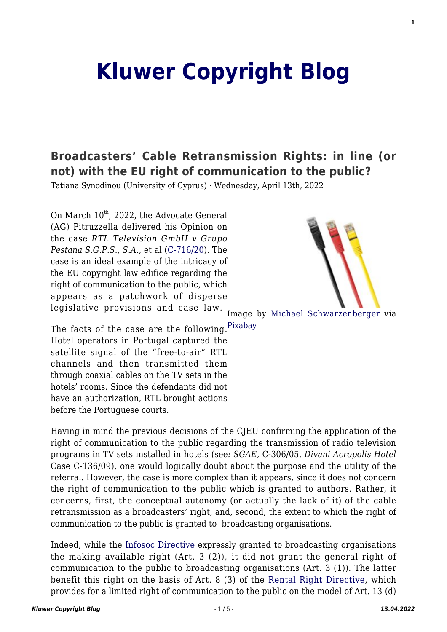# **[Kluwer Copyright Blog](http://copyrightblog.kluweriplaw.com/)**

## **[Broadcasters' Cable Retransmission Rights: in line \(or](http://copyrightblog.kluweriplaw.com/2022/04/13/broadcasters-cable-retransmission-rights-in-line-or-not-with-the-eu-right-of-communication-to-the-public/) [not\) with the EU right of communication to the public?](http://copyrightblog.kluweriplaw.com/2022/04/13/broadcasters-cable-retransmission-rights-in-line-or-not-with-the-eu-right-of-communication-to-the-public/)**

Tatiana Synodinou (University of Cyprus) · Wednesday, April 13th, 2022

On March  $10^{th}$ , 2022, the Advocate General (AG) Pitruzzella delivered his Opinion on the case *RTL Television GmbH v Grupo Pestana S.G.P.S., S.A.,* et al [\(C-716/20\)](https://curia.europa.eu/juris/documents.jsf?oqp=&for=&mat=or&lgrec=en&jge=&td=%3BALL&jur=C%2CT%2CF&num=C-716%252F20&page=1&dates=&pcs=Oor&lg=&pro=&nat=or&cit=none%252CC%252CCJ%252CR%252C2008E%252C%252C%252C%252C%252C%252C%252C%252C%252C%252Ctrue%252Cfalse%252Cfalse&language=en&avg=&cid=1440052). The case is an ideal example of the intricacy of the EU copyright law edifice regarding the right of communication to the public, which appears as a patchwork of disperse legislative provisions and case law.



Image by [Michael Schwarzenberger](https://pixabay.com/es/users/blickpixel-52945/?utm_source=link-attribution&utm_medium=referral&utm_campaign=image&utm_content=494647) via

The facts of the case are the following.<sup>[Pixabay](https://pixabay.com/es/?utm_source=link-attribution&utm_medium=referral&utm_campaign=image&utm_content=494647)</sup> Hotel operators in Portugal captured the satellite signal of the "free-to-air" RTL channels and then transmitted them through coaxial cables on the TV sets in the hotels' rooms. Since the defendants did not have an authorization, RTL brought actions before the Portuguese courts.

Having in mind the previous decisions of the CJEU confirming the application of the right of communication to the public regarding the transmission of radio television programs in TV sets installed in hotels (see*: SGAE,* C-306/05, *Divani Acropolis Hotel* Case C-136/09), one would logically doubt about the purpose and the utility of the referral. However, the case is more complex than it appears, since it does not concern the right of communication to the public which is granted to authors. Rather, it concerns, first, the conceptual autonomy (or actually the lack of it) of the cable retransmission as a broadcasters' right, and, second, the extent to which the right of communication to the public is granted to broadcasting organisations.

Indeed, while the [Infosoc Directive](https://eur-lex.europa.eu/legal-content/EN/TXT/HTML/?uri=CELEX:32001L0029&from=EN) expressly granted to broadcasting organisations the making available right (Art. 3 (2)), it did not grant the general right of communication to the public to broadcasting organisations (Art. 3 (1)). The latter benefit this right on the basis of Art. 8 (3) of the [Rental Right Directive](https://eur-lex.europa.eu/legal-content/EN/TXT/HTML/?uri=CELEX:32006L0115&from=EN), which provides for a limited right of communication to the public on the model of Art. 13 (d)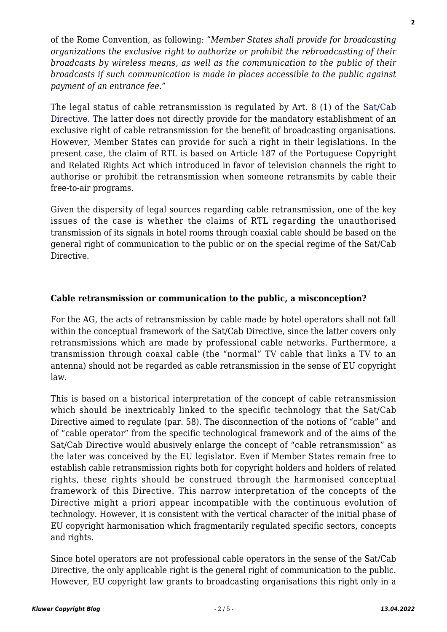of the Rome Convention, as following: "*Member States shall provide for broadcasting organizations the exclusive right to authorize or prohibit the rebroadcasting of their broadcasts by wireless means, as well as the communication to the public of their broadcasts if such communication is made in places accessible to the public against payment of an entrance fee*."

The legal status of cable retransmission is regulated by Art. 8 (1) of the [Sat/Cab](https://eur-lex.europa.eu/legal-content/EN/TXT/HTML/?uri=CELEX:31993L0083&from=EN) [Directive.](https://eur-lex.europa.eu/legal-content/EN/TXT/HTML/?uri=CELEX:31993L0083&from=EN) The latter does not directly provide for the mandatory establishment of an exclusive right of cable retransmission for the benefit of broadcasting organisations. However, Member States can provide for such a right in their legislations. In the present case, the claim of RTL is based on Article 187 of the Portuguese Copyright and Related Rights Act which introduced in favor of television channels the right to authorise or prohibit the retransmission when someone retransmits by cable their free-to-air programs.

Given the dispersity of legal sources regarding cable retransmission, one of the key issues of the case is whether the claims of RTL regarding the unauthorised transmission of its signals in hotel rooms through coaxial cable should be based on the general right of communication to the public or on the special regime of the Sat/Cab Directive.

#### **Cable retransmission or communication to the public, a misconception?**

For the AG, the acts of retransmission by cable made by hotel operators shall not fall within the conceptual framework of the Sat/Cab Directive, since the latter covers only retransmissions which are made by professional cable networks. Furthermore, a transmission through coaxal cable (the "normal" TV cable that links a TV to an antenna) should not be regarded as cable retransmission in the sense of EU copyright law.

This is based on a historical interpretation of the concept of cable retransmission which should be inextricably linked to the specific technology that the Sat/Cab Directive aimed to regulate (par. 58). The disconnection of the notions of "cable" and of "cable operator" from the specific technological framework and of the aims of the Sat/Cab Directive would abusively enlarge the concept of "cable retransmission" as the later was conceived by the EU legislator. Even if Member States remain free to establish cable retransmission rights both for copyright holders and holders of related rights, these rights should be construed through the harmonised conceptual framework of this Directive. This narrow interpretation of the concepts of the Directive might a priori appear incompatible with the continuous evolution of technology. However, it is consistent with the vertical character of the initial phase of EU copyright harmonisation which fragmentarily regulated specific sectors, concepts and rights.

Since hotel operators are not professional cable operators in the sense of the Sat/Cab Directive, the only applicable right is the general right of communication to the public. However, EU copyright law grants to broadcasting organisations this right only in a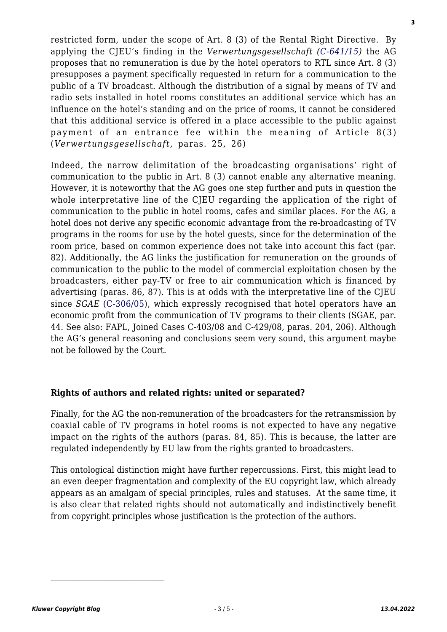restricted form, under the scope of Art. 8 (3) of the Rental Right Directive. By applying the CJEU's finding in the *Verwertungsgesellschaft ([C‑641/15\)](https://curia.europa.eu/juris/document/document.jsf?text=&docid=187919&pageIndex=0&doclang=en&mode=lst&dir=&occ=first&part=1&cid=1823391)* the AG proposes that no remuneration is due by the hotel operators to RTL since Art. 8 (3) presupposes a payment specifically requested in return for a communication to the public of a TV broadcast. Although the distribution of a signal by means of TV and radio sets installed in hotel rooms constitutes an additional service which has an influence on the hotel's standing and on the price of rooms, it cannot be considered that this additional service is offered in a place accessible to the public against payment of an entrance fee within the meaning of Article 8(3) (*Verwertungsgesellschaft,* paras. 25, 26)

Indeed, the narrow delimitation of the broadcasting organisations' right of communication to the public in Art. 8 (3) cannot enable any alternative meaning. However, it is noteworthy that the AG goes one step further and puts in question the whole interpretative line of the CJEU regarding the application of the right of communication to the public in hotel rooms, cafes and similar places. For the AG, a hotel does not derive any specific economic advantage from the re-broadcasting of TV programs in the rooms for use by the hotel guests, since for the determination of the room price, based on common experience does not take into account this fact (par. 82). Additionally, the AG links the justification for remuneration on the grounds of communication to the public to the model of commercial exploitation chosen by the broadcasters, either pay-TV or free to air communication which is financed by advertising (paras. 86, 87). This is at odds with the interpretative line of the CJEU since *SGAE* ([C-306/05](https://curia.europa.eu/juris/document/document.jsf?text=&docid=66355&pageIndex=0&doclang=en&mode=lst&dir=&occ=first&part=1&cid=1187454)), which expressly recognised that hotel operators have an economic profit from the communication of TV programs to their clients (SGAE, par. 44. See also: FAPL, Joined Cases C‑403/08 and C‑429/08, paras. 204, 206). Although the AG's general reasoning and conclusions seem very sound, this argument maybe not be followed by the Court.

#### **Rights of authors and related rights: united or separated?**

Finally, for the AG the non-remuneration of the broadcasters for the retransmission by coaxial cable of TV programs in hotel rooms is not expected to have any negative impact on the rights of the authors (paras. 84, 85). This is because, the latter are regulated independently by EU law from the rights granted to broadcasters.

This ontological distinction might have further repercussions. First, this might lead to an even deeper fragmentation and complexity of the EU copyright law, which already appears as an amalgam of special principles, rules and statuses. At the same time, it is also clear that related rights should not automatically and indistinctively benefit from copyright principles whose justification is the protection of the authors.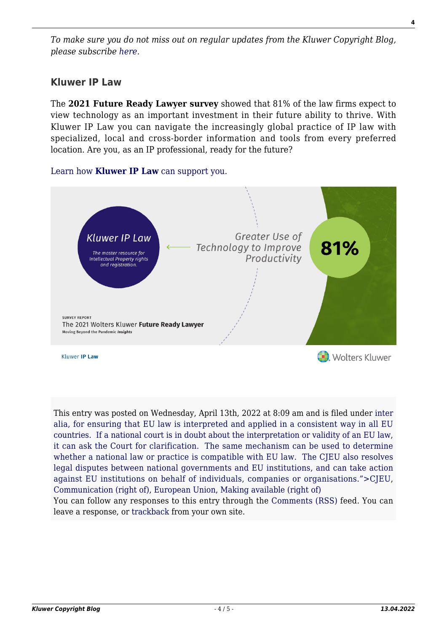*To make sure you do not miss out on regular updates from the Kluwer Copyright Blog, please subscribe [here.](http://copyrightblog.kluweriplaw.com/newsletter)*

### **Kluwer IP Law**

The **2021 Future Ready Lawyer survey** showed that 81% of the law firms expect to view technology as an important investment in their future ability to thrive. With Kluwer IP Law you can navigate the increasingly global practice of IP law with specialized, local and cross-border information and tools from every preferred location. Are you, as an IP professional, ready for the future?

#### [Learn how](https://www.wolterskluwer.com/en/solutions/kluweriplaw?utm_source=copyrightnblog&utm_medium=articleCTA&utm_campaign=article-banner) **[Kluwer IP Law](https://www.wolterskluwer.com/en/solutions/kluweriplaw?utm_source=copyrightnblog&utm_medium=articleCTA&utm_campaign=article-banner)** [can support you.](https://www.wolterskluwer.com/en/solutions/kluweriplaw?utm_source=copyrightnblog&utm_medium=articleCTA&utm_campaign=article-banner)



This entry was posted on Wednesday, April 13th, 2022 at 8:09 am and is filed under [inter](http://copyrightblog.kluweriplaw.com/category/cjeu/) [alia, for ensuring that EU law is interpreted and applied in a consistent way in all EU](http://copyrightblog.kluweriplaw.com/category/cjeu/) [countries. If a national court is in doubt about the interpretation or validity of an EU law,](http://copyrightblog.kluweriplaw.com/category/cjeu/) [it can ask the Court for clarification. The same mechanism can be used to determine](http://copyrightblog.kluweriplaw.com/category/cjeu/) [whether a national law or practice is compatible with EU law. The CJEU also resolves](http://copyrightblog.kluweriplaw.com/category/cjeu/) [legal disputes between national governments and EU institutions, and can take action](http://copyrightblog.kluweriplaw.com/category/cjeu/) [against EU institutions on behalf of individuals, companies or organisations.">CJEU,](http://copyrightblog.kluweriplaw.com/category/cjeu/) [Communication \(right of\),](http://copyrightblog.kluweriplaw.com/category/communication-right-of/) [European Union](http://copyrightblog.kluweriplaw.com/category/jurisdiction-2/european-union/), [Making available \(right of\)](http://copyrightblog.kluweriplaw.com/category/making-available-right-of/)

You can follow any responses to this entry through the [Comments \(RSS\)](http://copyrightblog.kluweriplaw.com/comments/feed/) feed. You can leave a response, or [trackback](http://copyrightblog.kluweriplaw.com/2022/04/13/broadcasters-cable-retransmission-rights-in-line-or-not-with-the-eu-right-of-communication-to-the-public/trackback/) from your own site.